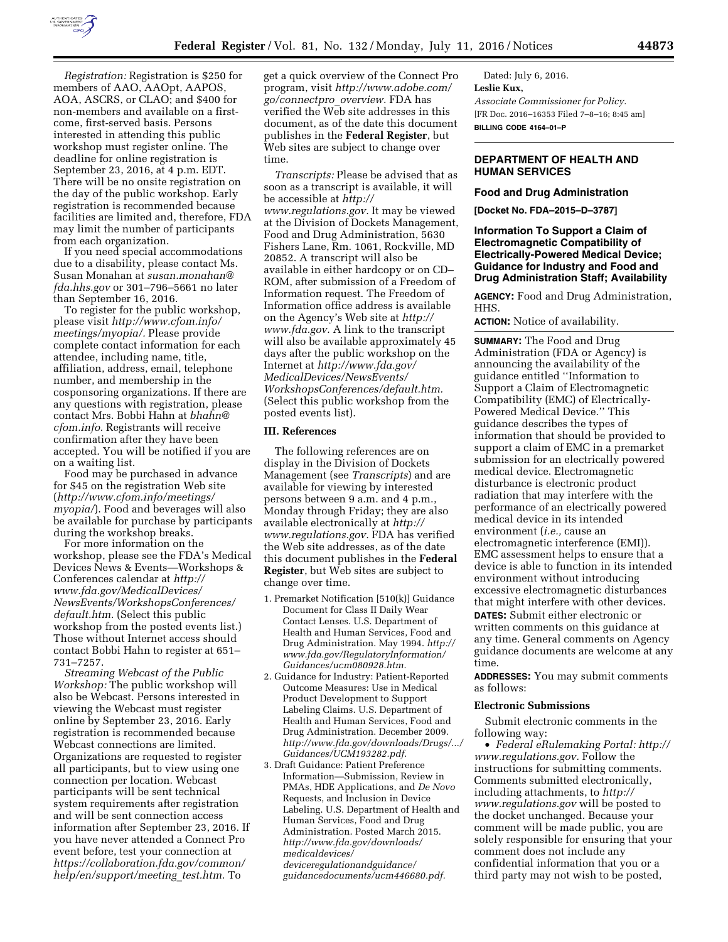

*Registration:* Registration is \$250 for members of AAO, AAOpt, AAPOS, AOA, ASCRS, or CLAO; and \$400 for non-members and available on a firstcome, first-served basis. Persons interested in attending this public workshop must register online. The deadline for online registration is September 23, 2016, at 4 p.m. EDT. There will be no onsite registration on the day of the public workshop. Early registration is recommended because facilities are limited and, therefore, FDA may limit the number of participants from each organization.

If you need special accommodations due to a disability, please contact Ms. Susan Monahan at *[susan.monahan@](mailto:susan.monahan@fda.hhs.gov) [fda.hhs.gov](mailto:susan.monahan@fda.hhs.gov)* or 301–796–5661 no later than September 16, 2016.

To register for the public workshop, please visit *[http://www.cfom.info/](http://www.cfom.info/meetings/myopia/) [meetings/myopia/.](http://www.cfom.info/meetings/myopia/)* Please provide complete contact information for each attendee, including name, title, affiliation, address, email, telephone number, and membership in the cosponsoring organizations. If there are any questions with registration, please contact Mrs. Bobbi Hahn at *[bhahn@](mailto:bhahn@cfom.info) [cfom.info.](mailto:bhahn@cfom.info)* Registrants will receive confirmation after they have been accepted. You will be notified if you are on a waiting list.

Food may be purchased in advance for \$45 on the registration Web site (*[http://www.cfom.info/meetings/](http://www.cfom.info/meetings/myopia/) [myopia/](http://www.cfom.info/meetings/myopia/)*). Food and beverages will also be available for purchase by participants during the workshop breaks.

For more information on the workshop, please see the FDA's Medical Devices News & Events—Workshops & Conferences calendar at *[http://](http://www.fda.gov/MedicalDevices/NewsEvents/WorkshopsConferences/default.htm) [www.fda.gov/MedicalDevices/](http://www.fda.gov/MedicalDevices/NewsEvents/WorkshopsConferences/default.htm) [NewsEvents/WorkshopsConferences/](http://www.fda.gov/MedicalDevices/NewsEvents/WorkshopsConferences/default.htm) [default.htm.](http://www.fda.gov/MedicalDevices/NewsEvents/WorkshopsConferences/default.htm)* (Select this public workshop from the posted events list.) Those without Internet access should contact Bobbi Hahn to register at 651– 731–7257.

*Streaming Webcast of the Public Workshop:* The public workshop will also be Webcast. Persons interested in viewing the Webcast must register online by September 23, 2016. Early registration is recommended because Webcast connections are limited. Organizations are requested to register all participants, but to view using one connection per location. Webcast participants will be sent technical system requirements after registration and will be sent connection access information after September 23, 2016. If you have never attended a Connect Pro event before, test your connection at *[https://collaboration.fda.gov/common/](https://collaboration.fda.gov/common/help/en/support/meeting_test.htm) [help/en/support/meeting](https://collaboration.fda.gov/common/help/en/support/meeting_test.htm)*\_*test.htm.* To

get a quick overview of the Connect Pro program, visit *[http://www.adobe.com/](http://www.adobe.com/go/connectpro_overview) [go/connectpro](http://www.adobe.com/go/connectpro_overview)*\_*overview.* FDA has verified the Web site addresses in this document, as of the date this document publishes in the **Federal Register**, but Web sites are subject to change over time.

*Transcripts:* Please be advised that as soon as a transcript is available, it will be accessible at *[http://](http://www.regulations.gov) [www.regulations.gov.](http://www.regulations.gov)* It may be viewed at the Division of Dockets Management, Food and Drug Administration, 5630 Fishers Lane, Rm. 1061, Rockville, MD 20852. A transcript will also be available in either hardcopy or on CD– ROM, after submission of a Freedom of Information request. The Freedom of Information office address is available on the Agency's Web site at *[http://](http://www.fda.gov) [www.fda.gov.](http://www.fda.gov)* A link to the transcript will also be available approximately 45 days after the public workshop on the Internet at *[http://www.fda.gov/](http://www.fda.gov/MedicalDevices/NewsEvents/WorkshopsConferences/default.htm) [MedicalDevices/NewsEvents/](http://www.fda.gov/MedicalDevices/NewsEvents/WorkshopsConferences/default.htm) [WorkshopsConferences/default.htm.](http://www.fda.gov/MedicalDevices/NewsEvents/WorkshopsConferences/default.htm)*  (Select this public workshop from the posted events list).

### **III. References**

The following references are on display in the Division of Dockets Management (see *Transcripts*) and are available for viewing by interested persons between 9 a.m. and 4 p.m., Monday through Friday; they are also available electronically at *[http://](http://www.regulations.gov) [www.regulations.gov.](http://www.regulations.gov)* FDA has verified the Web site addresses, as of the date this document publishes in the **Federal Register**, but Web sites are subject to change over time.

- 1. Premarket Notification [510(k)] Guidance Document for Class II Daily Wear Contact Lenses. U.S. Department of Health and Human Services, Food and Drug Administration. May 1994. *[http://](http://www.fda.gov/RegulatoryInformation/Guidances/ucm080928.htm) [www.fda.gov/RegulatoryInformation/](http://www.fda.gov/RegulatoryInformation/Guidances/ucm080928.htm) [Guidances/ucm080928.htm.](http://www.fda.gov/RegulatoryInformation/Guidances/ucm080928.htm)*
- 2. Guidance for Industry: Patient-Reported Outcome Measures: Use in Medical Product Development to Support Labeling Claims. U.S. Department of Health and Human Services, Food and Drug Administration. December 2009. *[http://www.fda.gov/downloads/Drugs/.../](http://www.fda.gov/downloads/Drugs/.../Guidances/UCM193282.pdf) [Guidances/UCM193282.pdf.](http://www.fda.gov/downloads/Drugs/.../Guidances/UCM193282.pdf)*
- 3. Draft Guidance: Patient Preference Information—Submission, Review in PMAs, HDE Applications, and *De Novo*  Requests, and Inclusion in Device Labeling. U.S. Department of Health and Human Services, Food and Drug Administration. Posted March 2015. *[http://www.fda.gov/downloads/](http://www.fda.gov/downloads/medicaldevices/deviceregulationandguidance/guidancedocuments/ucm446680.pdf) [medicaldevices/](http://www.fda.gov/downloads/medicaldevices/deviceregulationandguidance/guidancedocuments/ucm446680.pdf) [deviceregulationandguidance/](http://www.fda.gov/downloads/medicaldevices/deviceregulationandguidance/guidancedocuments/ucm446680.pdf) [guidancedocuments/ucm446680.pdf.](http://www.fda.gov/downloads/medicaldevices/deviceregulationandguidance/guidancedocuments/ucm446680.pdf)*

Dated: July 6, 2016. **Leslie Kux,**  *Associate Commissioner for Policy.*  [FR Doc. 2016–16353 Filed 7–8–16; 8:45 am] **BILLING CODE 4164–01–P** 

### **DEPARTMENT OF HEALTH AND HUMAN SERVICES**

### **Food and Drug Administration**

**[Docket No. FDA–2015–D–3787]** 

### **Information To Support a Claim of Electromagnetic Compatibility of Electrically-Powered Medical Device; Guidance for Industry and Food and Drug Administration Staff; Availability**

**AGENCY:** Food and Drug Administration, HHS.

**ACTION:** Notice of availability.

**SUMMARY:** The Food and Drug Administration (FDA or Agency) is announcing the availability of the guidance entitled ''Information to Support a Claim of Electromagnetic Compatibility (EMC) of Electrically-Powered Medical Device.'' This guidance describes the types of information that should be provided to support a claim of EMC in a premarket submission for an electrically powered medical device. Electromagnetic disturbance is electronic product radiation that may interfere with the performance of an electrically powered medical device in its intended environment (*i.e.,* cause an electromagnetic interference (EMI)). EMC assessment helps to ensure that a device is able to function in its intended environment without introducing excessive electromagnetic disturbances that might interfere with other devices. **DATES:** Submit either electronic or written comments on this guidance at any time. General comments on Agency guidance documents are welcome at any time.

**ADDRESSES:** You may submit comments as follows:

#### **Electronic Submissions**

Submit electronic comments in the following way:

• *Federal eRulemaking Portal: [http://](http://www.regulations.gov)  [www.regulations.gov.](http://www.regulations.gov)* Follow the instructions for submitting comments. Comments submitted electronically, including attachments, to *[http://](http://www.regulations.gov) [www.regulations.gov](http://www.regulations.gov)* will be posted to the docket unchanged. Because your comment will be made public, you are solely responsible for ensuring that your comment does not include any confidential information that you or a third party may not wish to be posted,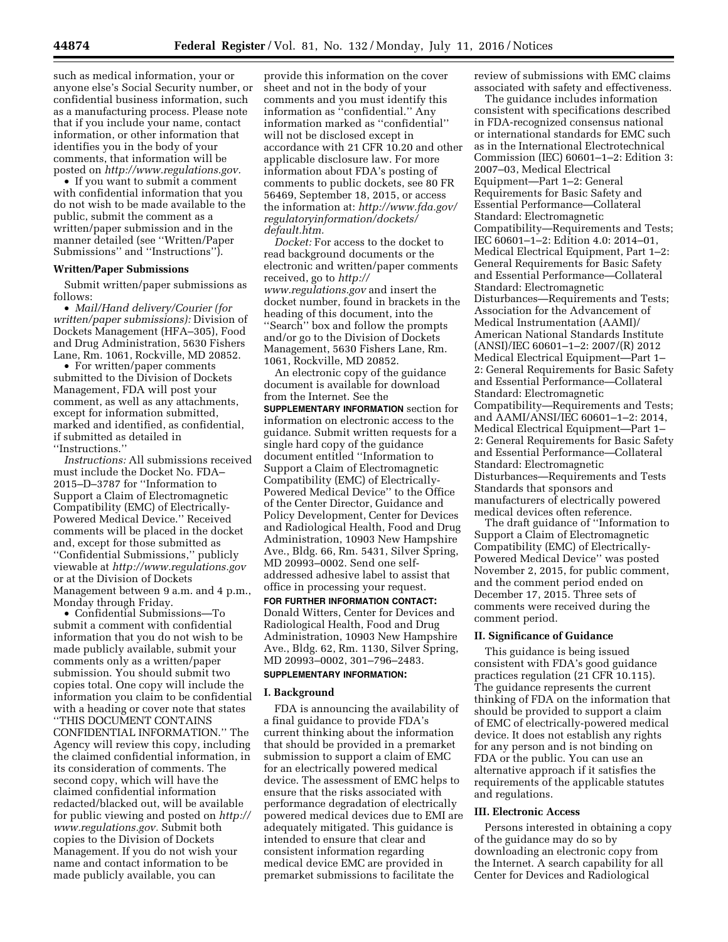such as medical information, your or anyone else's Social Security number, or confidential business information, such as a manufacturing process. Please note that if you include your name, contact information, or other information that identifies you in the body of your comments, that information will be posted on *[http://www.regulations.gov.](http://www.regulations.gov)* 

• If you want to submit a comment with confidential information that you do not wish to be made available to the public, submit the comment as a written/paper submission and in the manner detailed (see ''Written/Paper Submissions'' and ''Instructions'').

### **Written/Paper Submissions**

Submit written/paper submissions as follows:

• *Mail/Hand delivery/Courier (for written/paper submissions):* Division of Dockets Management (HFA–305), Food and Drug Administration, 5630 Fishers Lane, Rm. 1061, Rockville, MD 20852.

• For written/paper comments submitted to the Division of Dockets Management, FDA will post your comment, as well as any attachments, except for information submitted, marked and identified, as confidential, if submitted as detailed in ''Instructions.''

*Instructions:* All submissions received must include the Docket No. FDA– 2015–D–3787 for ''Information to Support a Claim of Electromagnetic Compatibility (EMC) of Electrically-Powered Medical Device.'' Received comments will be placed in the docket and, except for those submitted as ''Confidential Submissions,'' publicly viewable at *<http://www.regulations.gov>* or at the Division of Dockets Management between 9 a.m. and 4 p.m., Monday through Friday.

• Confidential Submissions—To submit a comment with confidential information that you do not wish to be made publicly available, submit your comments only as a written/paper submission. You should submit two copies total. One copy will include the information you claim to be confidential with a heading or cover note that states ''THIS DOCUMENT CONTAINS CONFIDENTIAL INFORMATION.'' The Agency will review this copy, including the claimed confidential information, in its consideration of comments. The second copy, which will have the claimed confidential information redacted/blacked out, will be available for public viewing and posted on *[http://](http://www.regulations.gov)  [www.regulations.gov.](http://www.regulations.gov)* Submit both copies to the Division of Dockets Management. If you do not wish your name and contact information to be made publicly available, you can

provide this information on the cover sheet and not in the body of your comments and you must identify this information as ''confidential.'' Any information marked as ''confidential'' will not be disclosed except in accordance with 21 CFR 10.20 and other applicable disclosure law. For more information about FDA's posting of comments to public dockets, see 80 FR 56469, September 18, 2015, or access the information at: *[http://www.fda.gov/](http://www.fda.gov/regulatoryinformation/dockets/default.htm)  [regulatoryinformation/dockets/](http://www.fda.gov/regulatoryinformation/dockets/default.htm) [default.htm.](http://www.fda.gov/regulatoryinformation/dockets/default.htm)* 

*Docket:* For access to the docket to read background documents or the electronic and written/paper comments received, go to *[http://](http://www.regulations.gov) [www.regulations.gov](http://www.regulations.gov)* and insert the docket number, found in brackets in the heading of this document, into the ''Search'' box and follow the prompts and/or go to the Division of Dockets Management, 5630 Fishers Lane, Rm. 1061, Rockville, MD 20852.

An electronic copy of the guidance document is available for download from the Internet. See the **SUPPLEMENTARY INFORMATION** section for information on electronic access to the guidance. Submit written requests for a single hard copy of the guidance document entitled ''Information to Support a Claim of Electromagnetic Compatibility (EMC) of Electrically-Powered Medical Device'' to the Office of the Center Director, Guidance and Policy Development, Center for Devices and Radiological Health, Food and Drug Administration, 10903 New Hampshire Ave., Bldg. 66, Rm. 5431, Silver Spring, MD 20993–0002. Send one selfaddressed adhesive label to assist that office in processing your request.

**FOR FURTHER INFORMATION CONTACT:**  Donald Witters, Center for Devices and Radiological Health, Food and Drug Administration, 10903 New Hampshire Ave., Bldg. 62, Rm. 1130, Silver Spring, MD 20993–0002, 301–796–2483.

# **SUPPLEMENTARY INFORMATION:**

#### **I. Background**

FDA is announcing the availability of a final guidance to provide FDA's current thinking about the information that should be provided in a premarket submission to support a claim of EMC for an electrically powered medical device. The assessment of EMC helps to ensure that the risks associated with performance degradation of electrically powered medical devices due to EMI are adequately mitigated. This guidance is intended to ensure that clear and consistent information regarding medical device EMC are provided in premarket submissions to facilitate the

review of submissions with EMC claims associated with safety and effectiveness.

The guidance includes information consistent with specifications described in FDA-recognized consensus national or international standards for EMC such as in the International Electrotechnical Commission (IEC) 60601–1–2: Edition 3: 2007–03, Medical Electrical Equipment—Part 1–2: General Requirements for Basic Safety and Essential Performance—Collateral Standard: Electromagnetic Compatibility—Requirements and Tests; IEC 60601–1–2: Edition 4.0: 2014–01, Medical Electrical Equipment, Part 1–2: General Requirements for Basic Safety and Essential Performance—Collateral Standard: Electromagnetic Disturbances—Requirements and Tests; Association for the Advancement of Medical Instrumentation (AAMI)/ American National Standards Institute (ANSI)/IEC 60601–1–2: 2007/(R) 2012 Medical Electrical Equipment—Part 1– 2: General Requirements for Basic Safety and Essential Performance—Collateral Standard: Electromagnetic Compatibility—Requirements and Tests; and AAMI/ANSI/IEC 60601–1–2: 2014, Medical Electrical Equipment—Part 1– 2: General Requirements for Basic Safety and Essential Performance—Collateral Standard: Electromagnetic Disturbances—Requirements and Tests Standards that sponsors and manufacturers of electrically powered medical devices often reference.

The draft guidance of ''Information to Support a Claim of Electromagnetic Compatibility (EMC) of Electrically-Powered Medical Device'' was posted November 2, 2015, for public comment, and the comment period ended on December 17, 2015. Three sets of comments were received during the comment period.

#### **II. Significance of Guidance**

This guidance is being issued consistent with FDA's good guidance practices regulation (21 CFR 10.115). The guidance represents the current thinking of FDA on the information that should be provided to support a claim of EMC of electrically-powered medical device. It does not establish any rights for any person and is not binding on FDA or the public. You can use an alternative approach if it satisfies the requirements of the applicable statutes and regulations.

### **III. Electronic Access**

Persons interested in obtaining a copy of the guidance may do so by downloading an electronic copy from the Internet. A search capability for all Center for Devices and Radiological